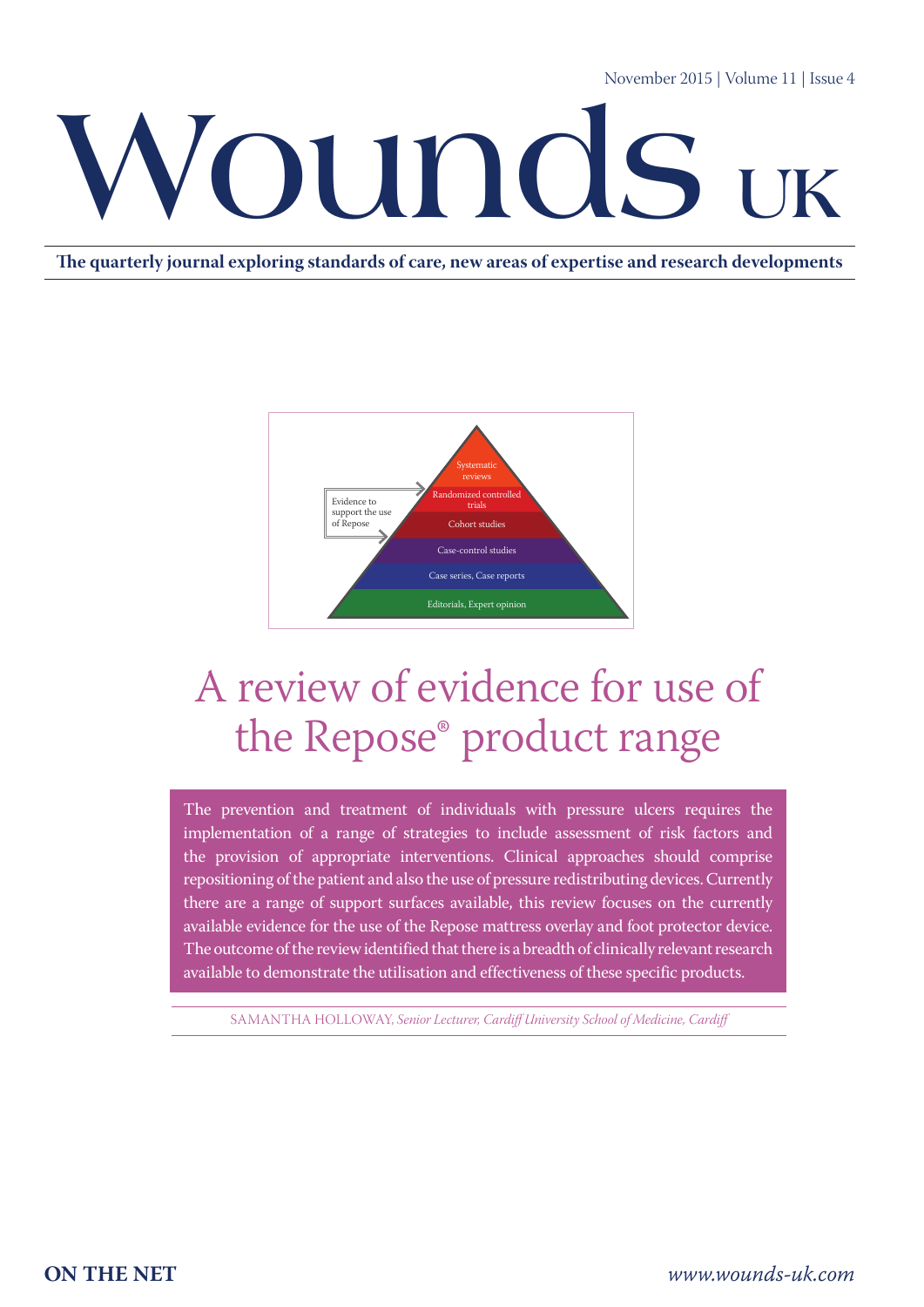November 2015 | Volume 11 | Issue 4

# **Wounds UK**

**T e quarterly journal exploring standards of care, new areas of expertise and research developments**



## A review of evidence for use of the Repose® product range

The prevention and treatment of individuals with pressure ulcers requires the implementation of a range of strategies to include assessment of risk factors and the provision of appropriate interventions. Clinical approaches should comprise repositioning of the patient and also the use of pressure redistributing devices. Currently there are a range of support surfaces available, this review focuses on the currently available evidence for the use of the Repose mattress overlay and foot protector device. The outcome of the review identified that there is a breadth of clinically relevant research available to demonstrate the utilisation and effectiveness of these specific products.

SAMANTHA HOLLOWAY, *Senior Lecturer, Cardi*ff *University School of Medicine, Cardi*ff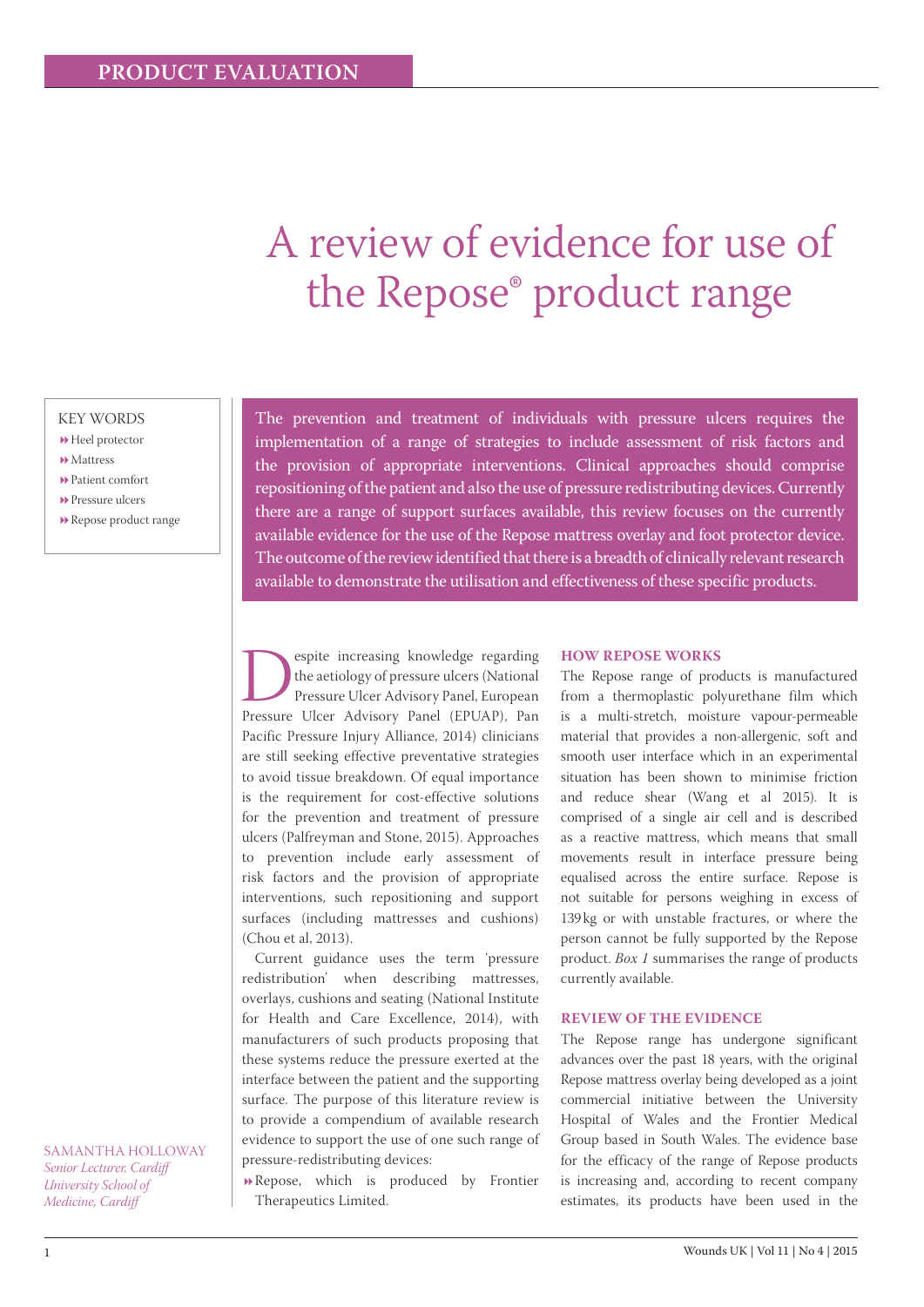### A review of evidence for use of the Repose® product range

#### KEY WORDS

- Heel protector
- **Wattress**
- Patient comfort
- **Pressure ulcers**
- Repose product range

The prevention and treatment of individuals with pressure ulcers requires the implementation of a range of strategies to include assessment of risk factors and the provision of appropriate interventions. Clinical approaches should comprise repositioning of the patient and also the use of pressure redistributing devices. Currently there are a range of support surfaces available, this review focuses on the currently available evidence for the use of the Repose mattress overlay and foot protector device. The outcome of the review identified that there is a breadth of clinically relevant research available to demonstrate the utilisation and effectiveness of these specific products.

**Despite increasing knowledge regarding**<br>the aetiology of pressure ulcers (National<br>Pressure Ulcer Advisory Panel (EPUAP), Pan the aetiology of pressure ulcers (National Pressure Ulcer Advisory Panel, European Pacific Pressure Injury Alliance, 2014) clinicians are still seeking effective preventative strategies to avoid tissue breakdown. Of equal importance is the requirement for cost-effective solutions for the prevention and treatment of pressure ulcers (Palfreyman and Stone, 2015). Approaches to prevention include early assessment of risk factors and the provision of appropriate interventions, such repositioning and support surfaces (including mattresses and cushions) (Chou et al, 2013).

Current guidance uses the term 'pressure redistribution' when describing mattresses, overlays, cushions and seating (National Institute for Health and Care Excellence, 2014), with manufacturers of such products proposing that these systems reduce the pressure exerted at the interface between the patient and the supporting surface. The purpose of this literature review is to provide a compendium of available research evidence to support the use of one such range of pressure-redistributing devices:

Repose, which is produced by Frontier Therapeutics Limited.

#### **HOW REPOSE WORKS**

The Repose range of products is manufactured from a thermoplastic polyurethane film which is a multi-stretch, moisture vapour-permeable material that provides a non-allergenic, soft and smooth user interface which in an experimental situation has been shown to minimise friction and reduce shear (Wang et al 2015). It is comprised of a single air cell and is described as a reactive mattress, which means that small movements result in interface pressure being equalised across the entire surface. Repose is not suitable for persons weighing in excess of 139 kg or with unstable fractures, or where the person cannot be fully supported by the Repose product. *Box 1* summarises the range of products currently available.

#### **REVIEW OF THE EVIDENCE**

The Repose range has undergone significant advances over the past 18 years, with the original Repose mattress overlay being developed as a joint commercial initiative between the University Hospital of Wales and the Frontier Medical Group based in South Wales. The evidence base for the efficacy of the range of Repose products is increasing and, according to recent company estimates, its products have been used in the

SAMANTHA HOLLOWAY *Senior Lecturer, Cardi*ff *University School of Medicine, Cardi*ff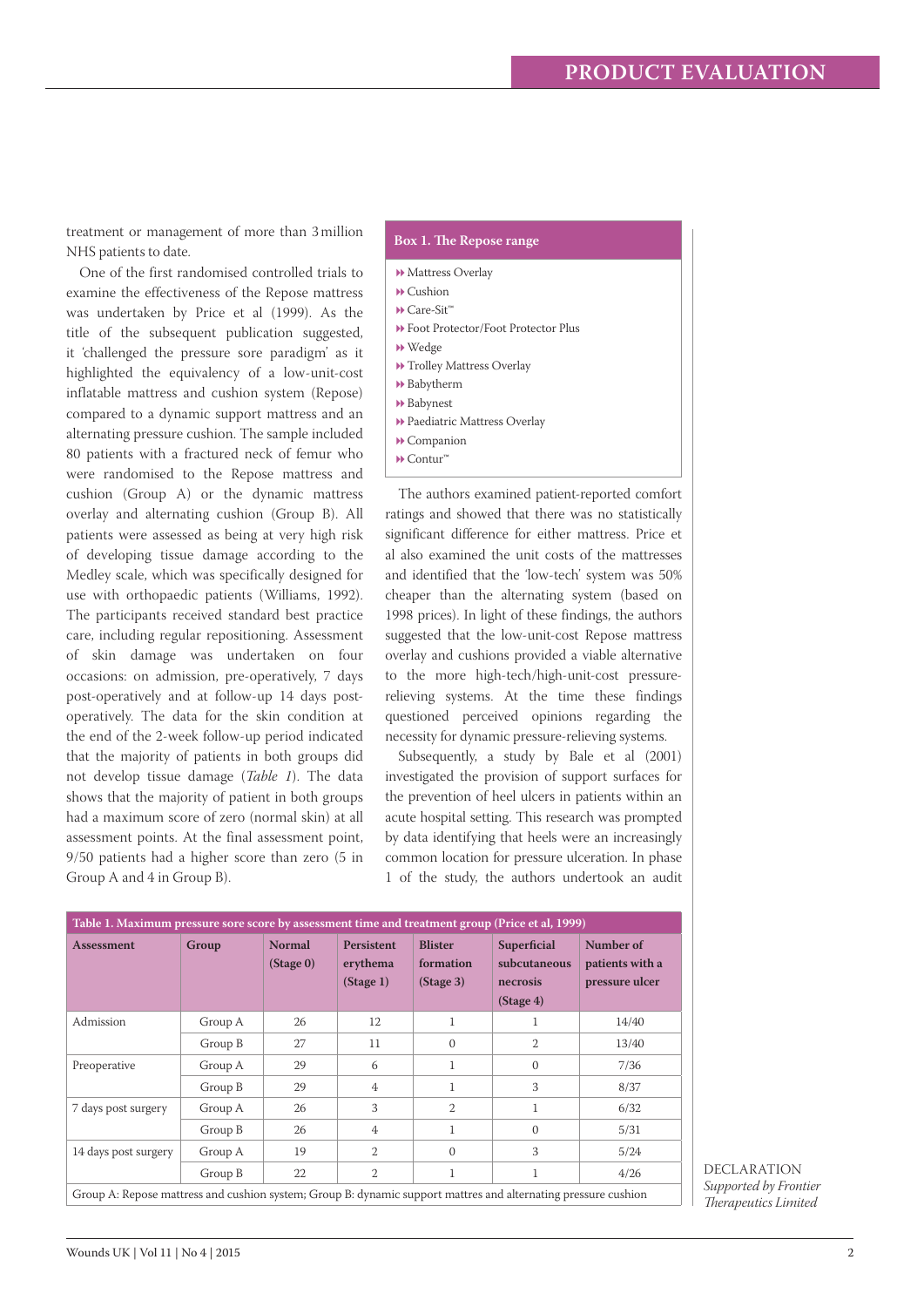treatment or management of more than 3million NHS patients to date.

One of the first randomised controlled trials to examine the effectiveness of the Repose mattress was undertaken by Price et al (1999). As the title of the subsequent publication suggested, it 'challenged the pressure sore paradigm' as it highlighted the equivalency of a low-unit-cost inflatable mattress and cushion system (Repose) compared to a dynamic support mattress and an alternating pressure cushion. The sample included 80 patients with a fractured neck of femur who were randomised to the Repose mattress and cushion (Group A) or the dynamic mattress overlay and alternating cushion (Group B). All patients were assessed as being at very high risk of developing tissue damage according to the Medley scale, which was specifically designed for use with orthopaedic patients (Williams, 1992). The participants received standard best practice care, including regular repositioning. Assessment of skin damage was undertaken on four occasions: on admission, pre-operatively, 7 days post-operatively and at follow-up 14 days postoperatively. The data for the skin condition at the end of the 2-week follow-up period indicated that the majority of patients in both groups did not develop tissue damage (*Table 1*). The data shows that the majority of patient in both groups had a maximum score of zero (normal skin) at all assessment points. At the final assessment point, 9/50 patients had a higher score than zero (5 in Group A and 4 in Group B).

#### **Box 1. Te Repose range**

- $\rightarrow$  Mattress Overlay
- **▶** Cushion
- Care-Sit™
- Foot Protector/Foot Protector Plus
- **▶** Wedge
- Trolley Mattress Overlay
- Babytherm
- Babynest
- Paediatric Mattress Overlay
- **▶** Companion
- Contur™

The authors examined patient-reported comfort ratings and showed that there was no statistically significant difference for either mattress. Price et al also examined the unit costs of the mattresses and identified that the 'low-tech' system was 50% cheaper than the alternating system (based on 1998 prices). In light of these findings, the authors suggested that the low-unit-cost Repose mattress overlay and cushions provided a viable alternative to the more high-tech/high-unit-cost pressurerelieving systems. At the time these findings questioned perceived opinions regarding the necessity for dynamic pressure-relieving systems.

Subsequently, a study by Bale et al (2001) investigated the provision of support surfaces for the prevention of heel ulcers in patients within an acute hospital setting. This research was prompted by data identifying that heels were an increasingly common location for pressure ulceration. In phase 1 of the study, the authors undertook an audit

| Table 1. Maximum pressure sore score by assessment time and treatment group (Price et al, 1999)                |         |                            |                                            |                                          |                                                      |                                                |  |  |
|----------------------------------------------------------------------------------------------------------------|---------|----------------------------|--------------------------------------------|------------------------------------------|------------------------------------------------------|------------------------------------------------|--|--|
| Assessment                                                                                                     | Group   | <b>Normal</b><br>(Stage 0) | <b>Persistent</b><br>erythema<br>(Stage 1) | <b>Blister</b><br>formation<br>(Stage 3) | Superficial<br>subcutaneous<br>necrosis<br>(Stage 4) | Number of<br>patients with a<br>pressure ulcer |  |  |
| Admission                                                                                                      | Group A | 26                         | 12                                         | 1                                        | 1                                                    | 14/40                                          |  |  |
|                                                                                                                | Group B | 27                         | 11                                         | $\Omega$                                 | $\mathfrak{D}$                                       | 13/40                                          |  |  |
| Preoperative                                                                                                   | Group A | 29                         | 6                                          | 1                                        | $\Omega$                                             | 7/36                                           |  |  |
|                                                                                                                | Group B | 29                         | 4                                          | 1                                        | 3                                                    | 8/37                                           |  |  |
| 7 days post surgery                                                                                            | Group A | 26                         | 3                                          | $\overline{2}$                           | $\mathbf{1}$                                         | 6/32                                           |  |  |
|                                                                                                                | Group B | 26                         | 4                                          | 1                                        | $\Omega$                                             | 5/31                                           |  |  |
| 14 days post surgery                                                                                           | Group A | 19                         | $\mathfrak{2}$                             | $\Omega$                                 | 3                                                    | 5/24                                           |  |  |
|                                                                                                                | Group B | 22                         | 2                                          | 1                                        | $\mathbf{1}$                                         | 4/26                                           |  |  |
| Group A: Repose mattress and cushion system; Group B: dynamic support mattres and alternating pressure cushion |         |                            |                                            |                                          |                                                      |                                                |  |  |

DECLARATION *Supported by Frontier* T*erapeutics Limited*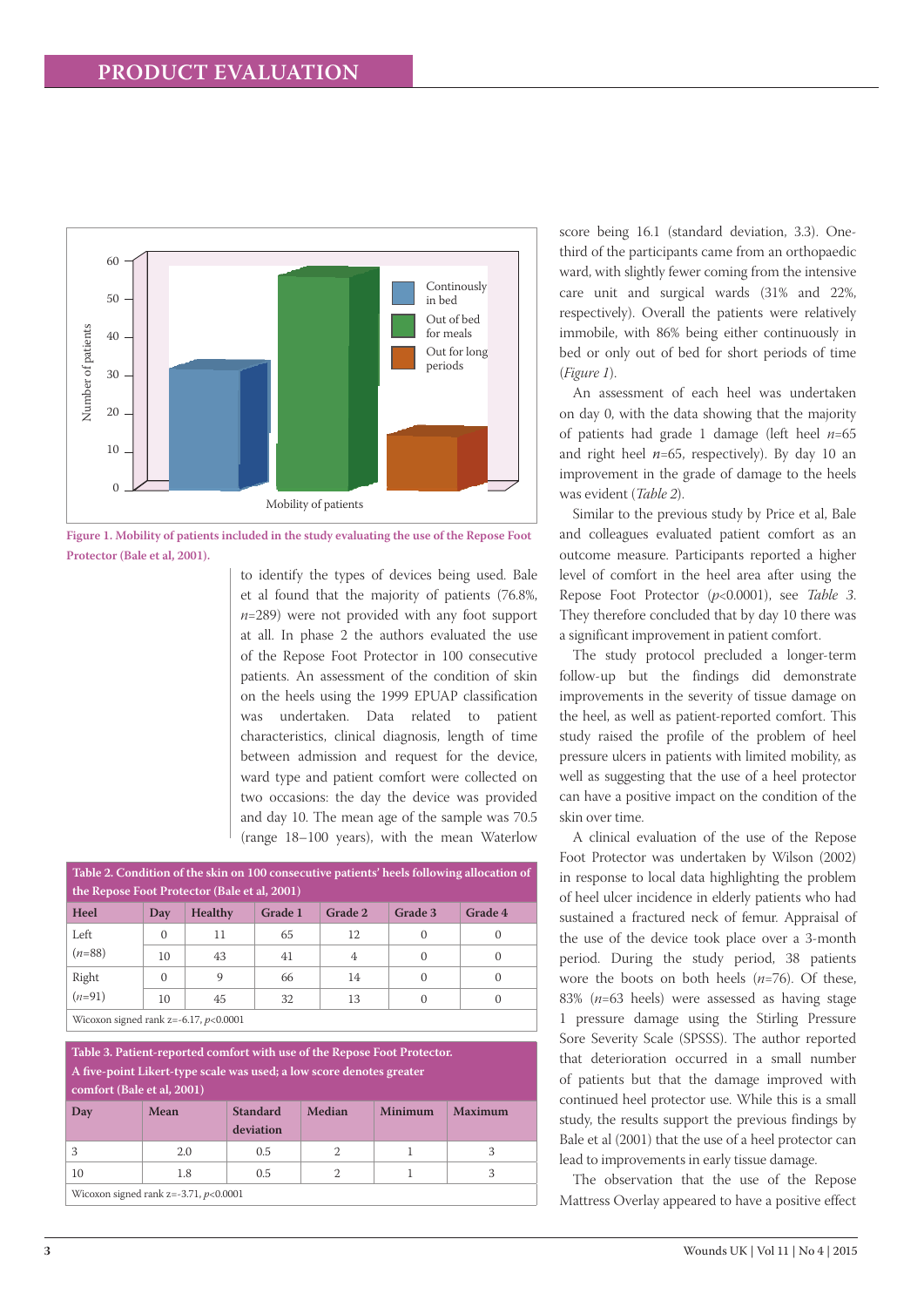

**Figure 1. Mobility of patients included in the study evaluating the use of the Repose Foot Protector (Bale et al, 2001).**

to identify the types of devices being used. Bale et al found that the majority of patients (76.8%, *n*=289) were not provided with any foot support at all. In phase 2 the authors evaluated the use of the Repose Foot Protector in 100 consecutive patients. An assessment of the condition of skin on the heels using the 1999 EPUAP classification was undertaken. Data related to patient characteristics, clinical diagnosis, length of time between admission and request for the device, ward type and patient comfort were collected on two occasions: the day the device was provided and day 10. The mean age of the sample was 70.5 (range 18–100 years), with the mean Waterlow

| Table 2. Condition of the skin on 100 consecutive patients' heels following allocation of<br>the Repose Foot Protector (Bale et al, 2001) |     |                |         |         |                  |         |  |  |
|-------------------------------------------------------------------------------------------------------------------------------------------|-----|----------------|---------|---------|------------------|---------|--|--|
| Heel                                                                                                                                      | Day | <b>Healthy</b> | Grade 1 | Grade 2 | Grade 3          | Grade 4 |  |  |
| Left<br>$(n=88)$                                                                                                                          |     | 11             | 65      | 12      |                  |         |  |  |
|                                                                                                                                           | 10  | 43             | 41      | 4       | $\Omega$         |         |  |  |
| Right<br>$(n=91)$                                                                                                                         |     | 9              | 66      | 14      | $\left( \right)$ |         |  |  |
|                                                                                                                                           | 10  | 45             | 32      | 13      |                  |         |  |  |

Wicoxon signed rank z=-6.17, *p*<0.0001

**Table 3. Patient-reported comfort with use of the Repose Foot Protector. A five-point Likert-type scale was used; a low score denotes greater comfort (Bale et al, 2001)**

| Day                                        | Mean | <b>Standard</b><br>deviation | Median | <b>Minimum</b> | Maximum |  |  |  |  |
|--------------------------------------------|------|------------------------------|--------|----------------|---------|--|--|--|--|
| 3                                          | 2.0  | 0.5                          |        |                |         |  |  |  |  |
| 10                                         | 1.8  | 0.5                          |        |                |         |  |  |  |  |
| Wicoxon signed rank $z=-3.71$ , $p<0.0001$ |      |                              |        |                |         |  |  |  |  |

score being 16.1 (standard deviation, 3.3). Onethird of the participants came from an orthopaedic ward, with slightly fewer coming from the intensive care unit and surgical wards (31% and 22%, respectively). Overall the patients were relatively immobile, with 86% being either continuously in bed or only out of bed for short periods of time (*Figure 1*).

An assessment of each heel was undertaken on day 0, with the data showing that the majority of patients had grade 1 damage (left heel *n*=65 and right heel *n*=65, respectively). By day 10 an improvement in the grade of damage to the heels was evident (*Table 2*).

Similar to the previous study by Price et al, Bale and colleagues evaluated patient comfort as an outcome measure. Participants reported a higher level of comfort in the heel area after using the Repose Foot Protector (*p*<0.0001), see *Table 3*. They therefore concluded that by day 10 there was a significant improvement in patient comfort.

The study protocol precluded a longer-term follow-up but the findings did demonstrate improvements in the severity of tissue damage on the heel, as well as patient-reported comfort. This study raised the profile of the problem of heel pressure ulcers in patients with limited mobility, as well as suggesting that the use of a heel protector can have a positive impact on the condition of the skin over time.

A clinical evaluation of the use of the Repose Foot Protector was undertaken by Wilson (2002) in response to local data highlighting the problem of heel ulcer incidence in elderly patients who had sustained a fractured neck of femur. Appraisal of the use of the device took place over a 3-month period. During the study period, 38 patients wore the boots on both heels (*n*=76). Of these, 83% (*n*=63 heels) were assessed as having stage 1 pressure damage using the Stirling Pressure Sore Severity Scale (SPSSS). The author reported that deterioration occurred in a small number of patients but that the damage improved with continued heel protector use. While this is a small study, the results support the previous findings by Bale et al (2001) that the use of a heel protector can lead to improvements in early tissue damage.

The observation that the use of the Repose Mattress Overlay appeared to have a positive effect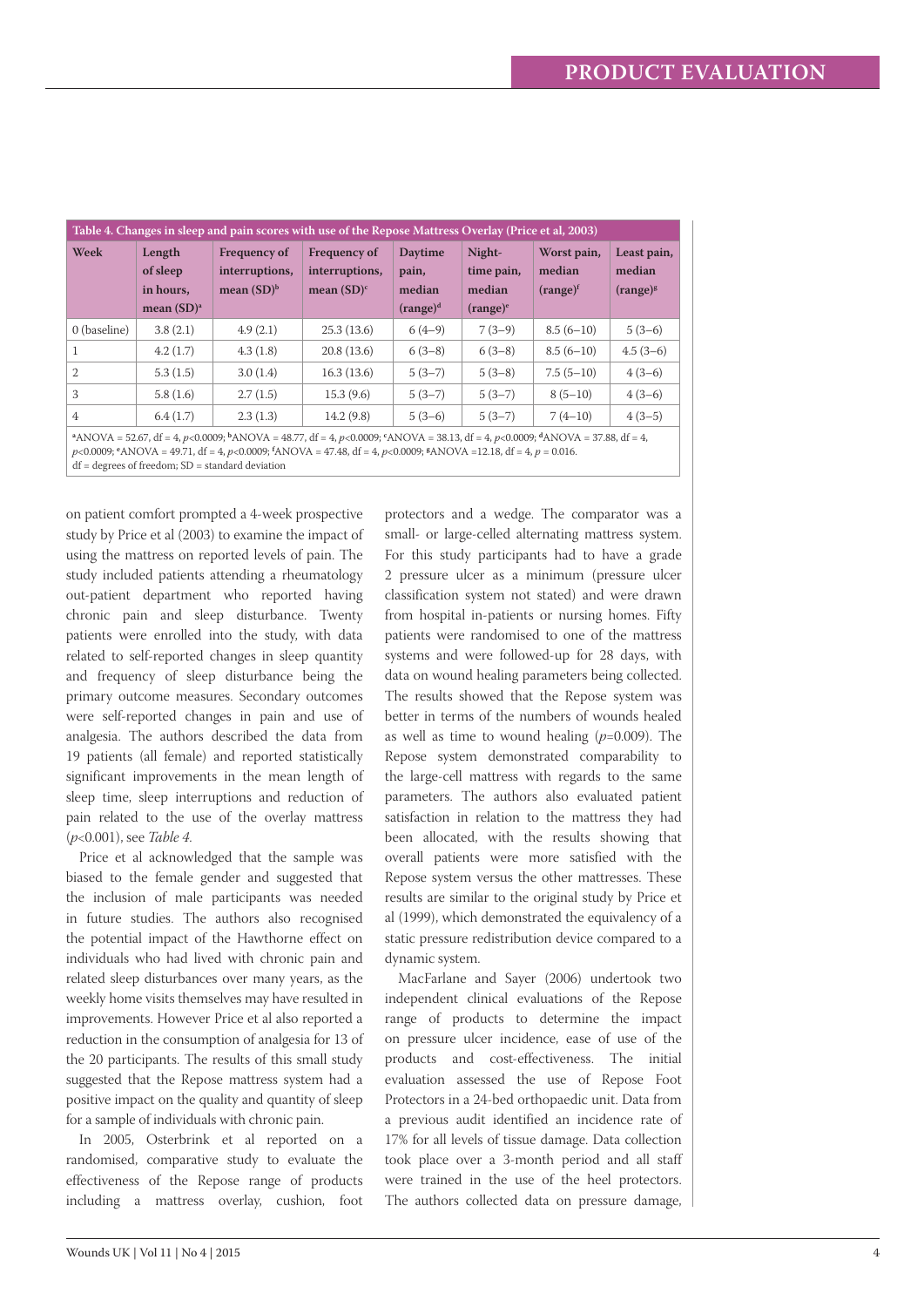| Table 4. Changes in sleep and pain scores with use of the Repose Mattress Overlay (Price et al, 2003) |                                                  |                                                        |                                                                                                                                               |                                           |                                               |                                      |                                        |  |  |
|-------------------------------------------------------------------------------------------------------|--------------------------------------------------|--------------------------------------------------------|-----------------------------------------------------------------------------------------------------------------------------------------------|-------------------------------------------|-----------------------------------------------|--------------------------------------|----------------------------------------|--|--|
| Week                                                                                                  | Length<br>of sleep<br>in hours.<br>mean $(SD)^a$ | <b>Frequency of</b><br>interruptions,<br>mean $(SD)^b$ | <b>Frequency of</b><br>interruptions,<br>mean $(SD)^c$                                                                                        | Daytime<br>pain,<br>median<br>$(range)^d$ | Night-<br>time pain,<br>median<br>$(range)^e$ | Worst pain,<br>median<br>$(range)^f$ | Least pain,<br>median<br>$(range)^{g}$ |  |  |
| 0 (baseline)                                                                                          | 3.8(2.1)                                         | 4.9(2.1)                                               | 25.3(13.6)                                                                                                                                    | $6(4-9)$                                  | $7(3-9)$                                      | $8.5(6-10)$                          | $5(3-6)$                               |  |  |
|                                                                                                       | 4.2(1.7)                                         | 4.3(1.8)                                               | 20.8(13.6)                                                                                                                                    | $6(3-8)$                                  | $6(3-8)$                                      | $8.5(6-10)$                          | $4.5(3-6)$                             |  |  |
| 2                                                                                                     | 5.3(1.5)                                         | 3.0(1.4)                                               | 16.3(13.6)                                                                                                                                    | $5(3-7)$                                  | $5(3-8)$                                      | $7.5(5-10)$                          | $4(3-6)$                               |  |  |
| 3                                                                                                     | 5.8(1.6)                                         | 2.7(1.5)                                               | 15.3(9.6)                                                                                                                                     | $5(3-7)$                                  | $5(3-7)$                                      | $8(5-10)$                            | $4(3-6)$                               |  |  |
| 4                                                                                                     | 6.4(1.7)                                         | 2.3(1.3)                                               | 14.2(9.8)                                                                                                                                     | $5(3-6)$                                  | $5(3-7)$                                      | $7(4-10)$                            | $4(3-5)$                               |  |  |
|                                                                                                       |                                                  |                                                        | $^4$ ANOVA = 52.67, df = 4, p<0.0009; $^6$ ANOVA = 48.77, df = 4, p<0.0009; $^6$ ANOVA = 38.13, df = 4, p<0.0009; $^4$ ANOVA = 37.88, df = 4. |                                           |                                               |                                      |                                        |  |  |

\*ANOVA = 52.67, df = 4, p<0.0009; <sup>b</sup>ANOVA = 48.77, df = 4, p<0.0009; <sup>c</sup>ANOVA = 38.13, df = 4, p<0.0009; <sup>d</sup>ANOVA = 37.88, df = 4,<br>p<0.0009; <sup>e</sup>ANOVA = 49.71, df = 4, p<0.0009; <sup>f</sup>ANOVA = 47.48, df = 4, p<0.0009; <sup>g</sup>ANOVA  $df = degrees of freedom; SD = standard deviation$ 

on patient comfort prompted a 4-week prospective study by Price et al (2003) to examine the impact of using the mattress on reported levels of pain. The study included patients attending a rheumatology out-patient department who reported having chronic pain and sleep disturbance. Twenty patients were enrolled into the study, with data related to self-reported changes in sleep quantity and frequency of sleep disturbance being the primary outcome measures. Secondary outcomes were self-reported changes in pain and use of analgesia. The authors described the data from 19 patients (all female) and reported statistically significant improvements in the mean length of sleep time, sleep interruptions and reduction of pain related to the use of the overlay mattress (*p*<0.001), see *Table 4*.

Price et al acknowledged that the sample was biased to the female gender and suggested that the inclusion of male participants was needed in future studies. The authors also recognised the potential impact of the Hawthorne effect on individuals who had lived with chronic pain and related sleep disturbances over many years, as the weekly home visits themselves may have resulted in improvements. However Price et al also reported a reduction in the consumption of analgesia for 13 of the 20 participants. The results of this small study suggested that the Repose mattress system had a positive impact on the quality and quantity of sleep for a sample of individuals with chronic pain.

In 2005, Osterbrink et al reported on a randomised, comparative study to evaluate the effectiveness of the Repose range of products including a mattress overlay, cushion, foot

protectors and a wedge. The comparator was a small- or large-celled alternating mattress system. For this study participants had to have a grade 2 pressure ulcer as a minimum (pressure ulcer classification system not stated) and were drawn from hospital in-patients or nursing homes. Fifty patients were randomised to one of the mattress systems and were followed-up for 28 days, with data on wound healing parameters being collected. The results showed that the Repose system was better in terms of the numbers of wounds healed as well as time to wound healing (*p*=0.009). The Repose system demonstrated comparability to the large-cell mattress with regards to the same parameters. The authors also evaluated patient satisfaction in relation to the mattress they had been allocated, with the results showing that overall patients were more satisfied with the Repose system versus the other mattresses. These results are similar to the original study by Price et al (1999), which demonstrated the equivalency of a static pressure redistribution device compared to a dynamic system.

MacFarlane and Sayer (2006) undertook two independent clinical evaluations of the Repose range of products to determine the impact on pressure ulcer incidence, ease of use of the products and cost-effectiveness. The initial evaluation assessed the use of Repose Foot Protectors in a 24-bed orthopaedic unit. Data from a previous audit identified an incidence rate of 17% for all levels of tissue damage. Data collection took place over a 3-month period and all staff were trained in the use of the heel protectors. The authors collected data on pressure damage,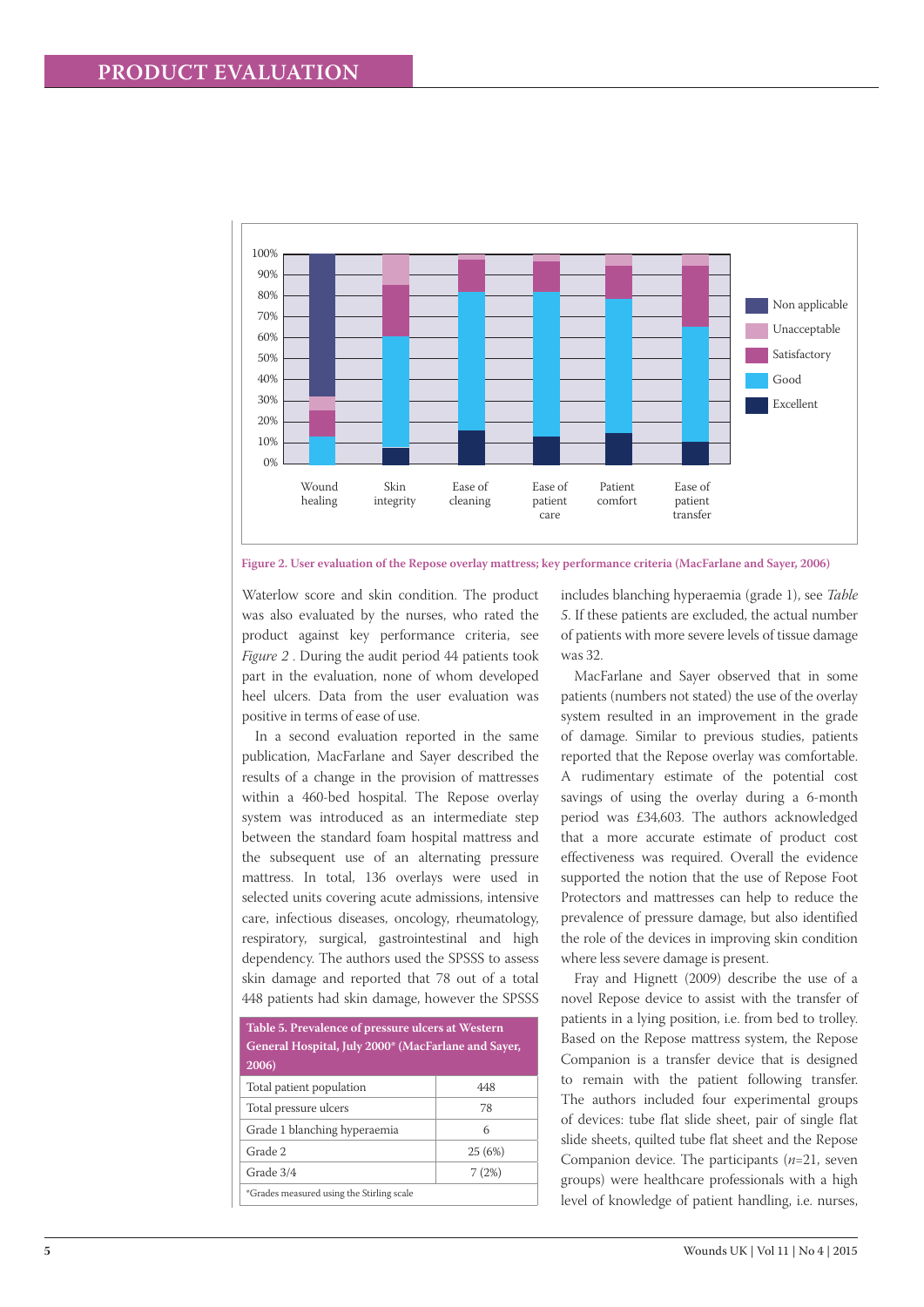

**Figure 2. User evaluation of the Repose overlay mattress; key performance criteria (MacFarlane and Sayer, 2006)**

Waterlow score and skin condition. The product was also evaluated by the nurses, who rated the product against key performance criteria, see *Figure 2* . During the audit period 44 patients took part in the evaluation, none of whom developed heel ulcers. Data from the user evaluation was positive in terms of ease of use.

In a second evaluation reported in the same publication, MacFarlane and Sayer described the results of a change in the provision of mattresses within a 460-bed hospital. The Repose overlay system was introduced as an intermediate step between the standard foam hospital mattress and the subsequent use of an alternating pressure mattress. In total, 136 overlays were used in selected units covering acute admissions, intensive care, infectious diseases, oncology, rheumatology, respiratory, surgical, gastrointestinal and high dependency. The authors used the SPSSS to assess skin damage and reported that 78 out of a total 448 patients had skin damage, however the SPSSS

| Table 5. Prevalence of pressure ulcers at Western<br>General Hospital, July 2000* (MacFarlane and Sayer,<br>2006) |        |  |  |  |  |  |
|-------------------------------------------------------------------------------------------------------------------|--------|--|--|--|--|--|
| Total patient population                                                                                          | 448    |  |  |  |  |  |
| Total pressure ulcers<br>78                                                                                       |        |  |  |  |  |  |
| Grade 1 blanching hyperaemia                                                                                      | 6      |  |  |  |  |  |
| Grade 2                                                                                                           | 25(6%) |  |  |  |  |  |
| Grade 3/4<br>7(2%)                                                                                                |        |  |  |  |  |  |
| *Grades measured using the Stirling scale                                                                         |        |  |  |  |  |  |

includes blanching hyperaemia (grade 1), see *Table 5*. If these patients are excluded, the actual number of patients with more severe levels of tissue damage was 32.

MacFarlane and Sayer observed that in some patients (numbers not stated) the use of the overlay system resulted in an improvement in the grade of damage. Similar to previous studies, patients reported that the Repose overlay was comfortable. A rudimentary estimate of the potential cost savings of using the overlay during a 6-month period was £34,603. The authors acknowledged that a more accurate estimate of product cost effectiveness was required. Overall the evidence supported the notion that the use of Repose Foot Protectors and mattresses can help to reduce the prevalence of pressure damage, but also identified the role of the devices in improving skin condition where less severe damage is present.

Fray and Hignett (2009) describe the use of a novel Repose device to assist with the transfer of patients in a lying position, i.e. from bed to trolley. Based on the Repose mattress system, the Repose Companion is a transfer device that is designed to remain with the patient following transfer. The authors included four experimental groups of devices: tube flat slide sheet, pair of single flat slide sheets, quilted tube flat sheet and the Repose Companion device. The participants (*n*=21, seven groups) were healthcare professionals with a high level of knowledge of patient handling, i.e. nurses,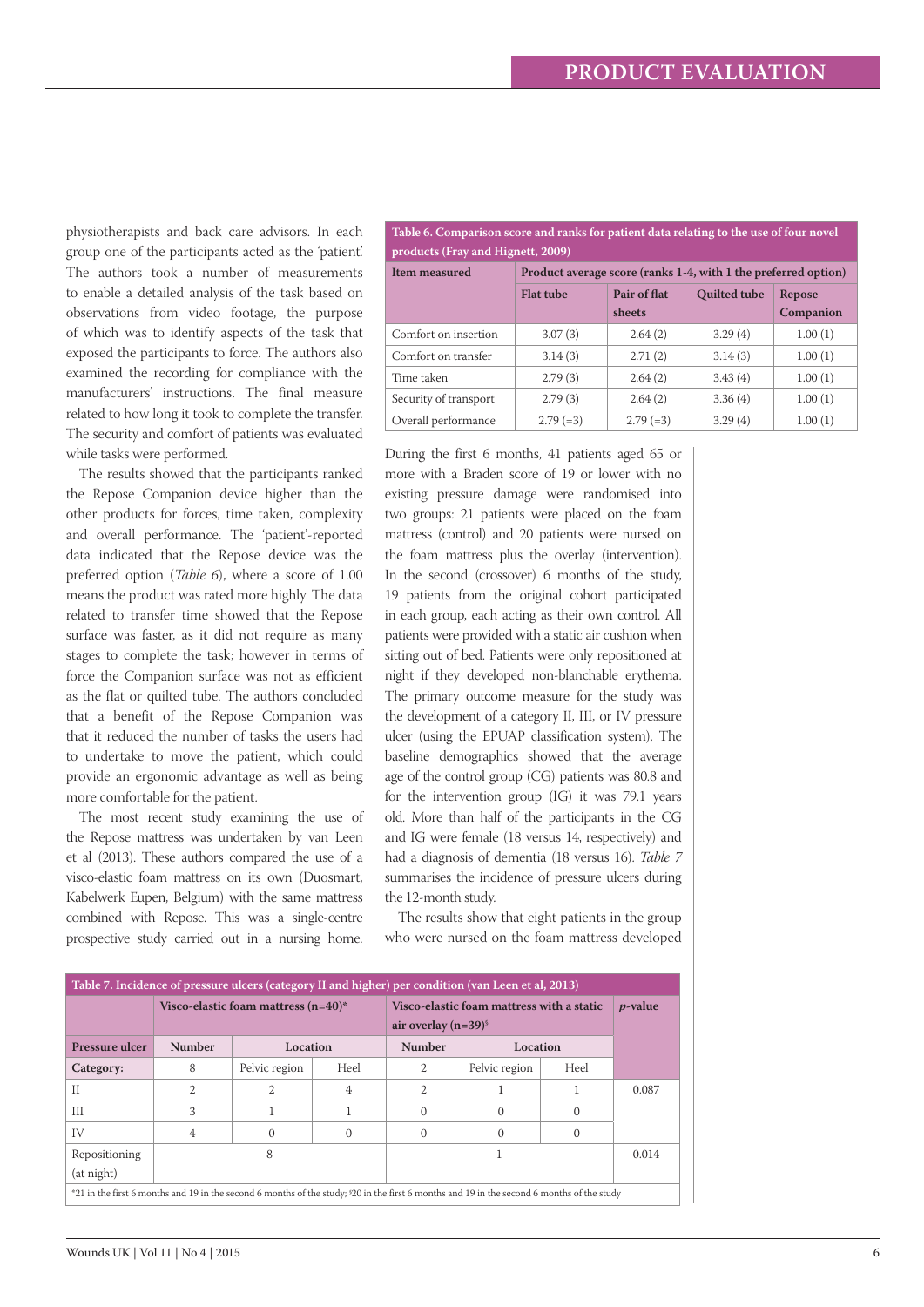physiotherapists and back care advisors. In each group one of the participants acted as the 'patient'. The authors took a number of measurements to enable a detailed analysis of the task based on observations from video footage, the purpose of which was to identify aspects of the task that exposed the participants to force. The authors also examined the recording for compliance with the manufacturers' instructions. The final measure related to how long it took to complete the transfer. The security and comfort of patients was evaluated while tasks were performed.

The results showed that the participants ranked the Repose Companion device higher than the other products for forces, time taken, complexity and overall performance. The 'patient'-reported data indicated that the Repose device was the preferred option (*Table 6*), where a score of 1.00 means the product was rated more highly. The data related to transfer time showed that the Repose surface was faster, as it did not require as many stages to complete the task; however in terms of force the Companion surface was not as efficient as the flat or quilted tube. The authors concluded that a benefit of the Repose Companion was that it reduced the number of tasks the users had to undertake to move the patient, which could provide an ergonomic advantage as well as being more comfortable for the patient.

The most recent study examining the use of the Repose mattress was undertaken by van Leen et al (2013). These authors compared the use of a visco-elastic foam mattress on its own (Duosmart, Kabelwerk Eupen, Belgium) with the same mattress combined with Repose. This was a single-centre prospective study carried out in a nursing home.

**Table 6. Comparison score and ranks for patient data relating to the use of four novel products (Fray and Hignett, 2009)**

| Item measured         | Product average score (ranks 1-4, with 1 the preferred option) |              |                     |               |  |  |  |
|-----------------------|----------------------------------------------------------------|--------------|---------------------|---------------|--|--|--|
|                       | <b>Flat tube</b>                                               | Pair of flat | <b>Quilted tube</b> | <b>Repose</b> |  |  |  |
|                       |                                                                | sheets       |                     | Companion     |  |  |  |
| Comfort on insertion  | 3.07(3)                                                        | 2.64(2)      | 3.29(4)             | 1.00(1)       |  |  |  |
| Comfort on transfer   | 3.14(3)                                                        | 2.71(2)      | 3.14(3)             | 1.00(1)       |  |  |  |
| Time taken            | 2.79(3)                                                        | 2.64(2)      | 3.43(4)             | 1.00(1)       |  |  |  |
| Security of transport | 2.79(3)                                                        | 2.64(2)      | 3.36(4)             | 1.00(1)       |  |  |  |
| Overall performance   | $2.79 (=3)$                                                    | $2.79 (=3)$  | 3.29(4)             | 1.00(1)       |  |  |  |

During the first 6 months, 41 patients aged 65 or more with a Braden score of 19 or lower with no existing pressure damage were randomised into two groups: 21 patients were placed on the foam mattress (control) and 20 patients were nursed on the foam mattress plus the overlay (intervention). In the second (crossover) 6 months of the study, 19 patients from the original cohort participated in each group, each acting as their own control. All patients were provided with a static air cushion when sitting out of bed. Patients were only repositioned at night if they developed non-blanchable erythema. The primary outcome measure for the study was the development of a category II, III, or IV pressure ulcer (using the EPUAP classification system). The baseline demographics showed that the average age of the control group (CG) patients was 80.8 and for the intervention group (IG) it was 79.1 years old. More than half of the participants in the CG and IG were female (18 versus 14, respectively) and had a diagnosis of dementia (18 versus 16). *Table 7* summarises the incidence of pressure ulcers during the 12-month study.

The results show that eight patients in the group who were nursed on the foam mattress developed

| Table 7. Incidence of pressure ulcers (category II and higher) per condition (van Leen et al, 2013)                                         |                |                                        |          |                                                                   |                 |          |       |  |  |
|---------------------------------------------------------------------------------------------------------------------------------------------|----------------|----------------------------------------|----------|-------------------------------------------------------------------|-----------------|----------|-------|--|--|
|                                                                                                                                             |                | Visco-elastic foam mattress $(n=40)$ * |          | Visco-elastic foam mattress with a static<br>air overlay $(n=39)$ | <i>p</i> -value |          |       |  |  |
| <b>Pressure ulcer</b>                                                                                                                       | <b>Number</b>  | Location                               |          | <b>Number</b>                                                     | Location        |          |       |  |  |
| Category:                                                                                                                                   | 8              | Pelvic region                          | Heel     | 2                                                                 | Pelvic region   | Heel     |       |  |  |
| Н                                                                                                                                           | 2              | 2                                      | 4        | 2                                                                 |                 |          | 0.087 |  |  |
| III                                                                                                                                         | 3              |                                        |          | $\Omega$                                                          | 0               | $\Omega$ |       |  |  |
| IV                                                                                                                                          | $\overline{4}$ | 0                                      | $\Omega$ | $\Omega$                                                          | 0               | 0        |       |  |  |
| Repositioning                                                                                                                               |                | 8                                      |          |                                                                   | 0.014           |          |       |  |  |
| (at night)                                                                                                                                  |                |                                        |          |                                                                   |                 |          |       |  |  |
| *21 in the first 6 months and 19 in the second 6 months of the study; \$20 in the first 6 months and 19 in the second 6 months of the study |                |                                        |          |                                                                   |                 |          |       |  |  |